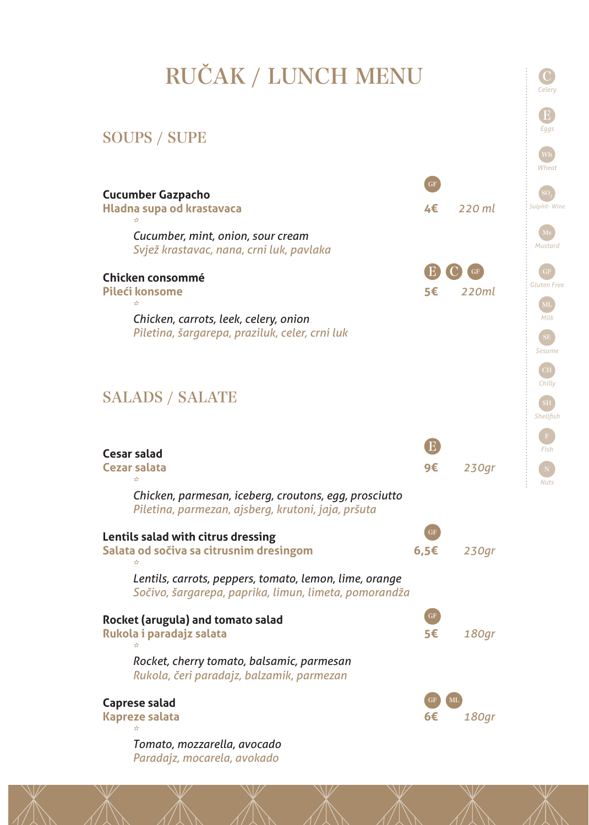## RUČAK / LUNCH MENU

*Celery*

E *Eggs*

## SOUPS / SUPE



*Tomato, mozzarella, avocado Paradajz, mocarela, avokado*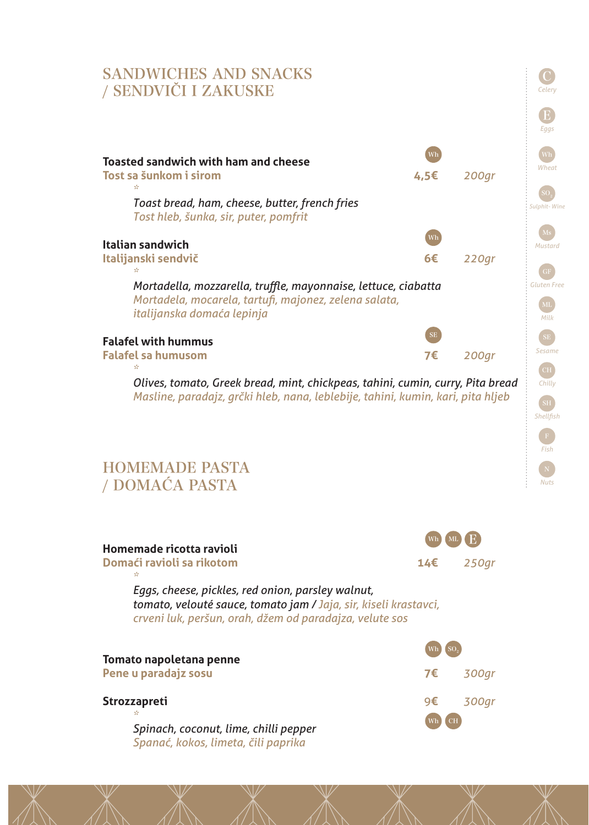

| Homemade ricotta ravioli                                                                                                                                                         | Wh  |           |
|----------------------------------------------------------------------------------------------------------------------------------------------------------------------------------|-----|-----------|
| Domaći ravioli sa rikotom<br>$\frac{1}{2\sqrt{2}}$                                                                                                                               | 14€ | 250gr     |
| Eggs, cheese, pickles, red onion, parsley walnut,<br>tomato, velouté sauce, tomato jam / Jaja, sir, kiseli krastavci,<br>crveni luk, peršun, orah, džem od paradajza, velute sos |     |           |
|                                                                                                                                                                                  |     |           |
| Tomato napoletana penne<br>Pene u paradajz sosu                                                                                                                                  | 7€  | 300gr     |
| <b>Strozzapreti</b><br>sh.                                                                                                                                                       | 9€  | 300gr     |
| Spinach, coconut, lime, chilli pepper<br>Spanać, kokos, limeta, čili paprika                                                                                                     |     | <b>CH</b> |